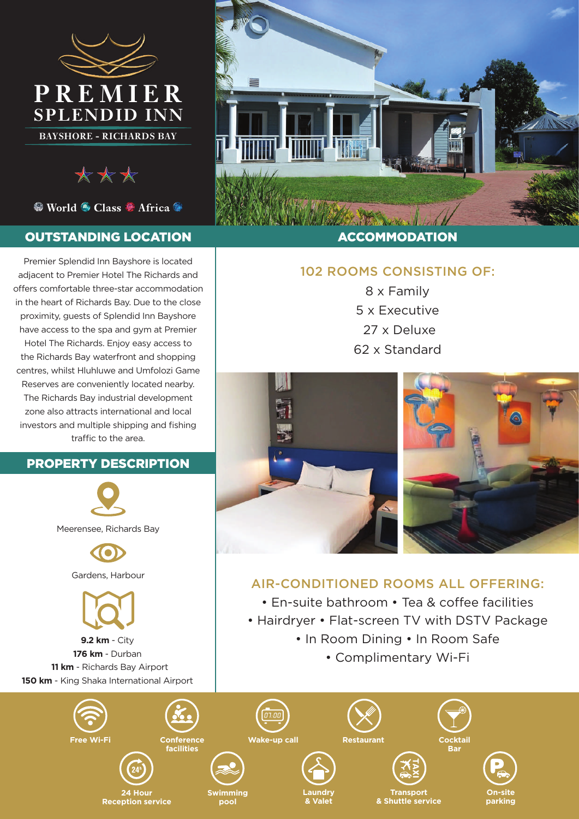

\*\*\*

● World ● Class ● Africa ●

#### OUTSTANDING LOCATION

Premier Splendid Inn Bayshore is located adjacent to Premier Hotel The Richards and offers comfortable three-star accommodation in the heart of Richards Bay. Due to the close proximity, guests of Splendid Inn Bayshore have access to the spa and gym at Premier Hotel The Richards. Enjoy easy access to the Richards Bay waterfront and shopping centres, whilst Hluhluwe and Umfolozi Game Reserves are conveniently located nearby. The Richards Bay industrial development zone also attracts international and local investors and multiple shipping and fishing traffic to the area.

### PROPERTY DESCRIPTION



**150 km** - King Shaka International Airport



#### ACCOMMODATION

## 102 ROOMS CONSISTING OF:

8 x Family 5 x Executive 27 x Deluxe 62 x Standard



## AIR-CONDITIONED ROOMS ALL OFFERING:

- En-suite bathroom Tea & coffee facilities
- Hairdryer Flat-screen TV with DSTV Package
	- In Room Dining In Room Safe
		- Complimentary Wi-Fi







**24 Hour Reception service** **Swimming pool**

**Laundry** 

**& Valet**

**Transport & Shuttle service**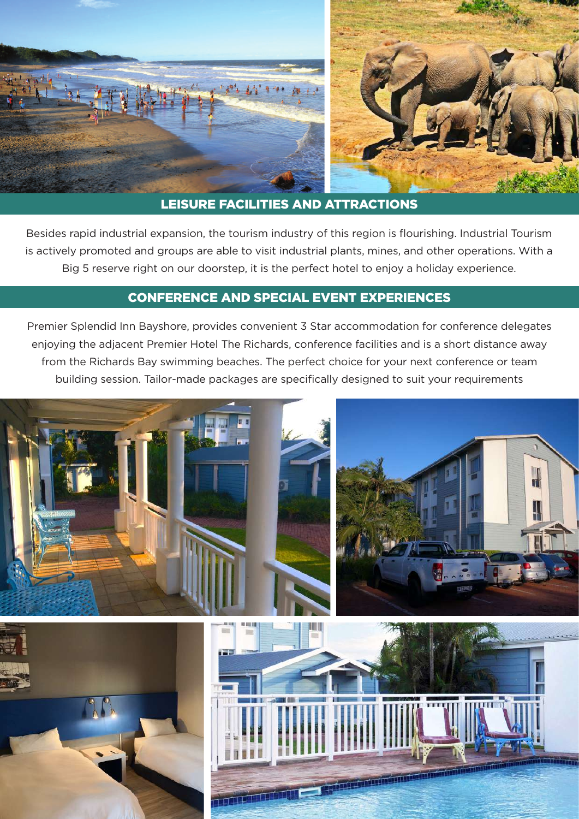

## LEISURE FACILITIES AND ATTRACTIONS

Besides rapid industrial expansion, the tourism industry of this region is flourishing. Industrial Tourism is actively promoted and groups are able to visit industrial plants, mines, and other operations. With a Big 5 reserve right on our doorstep, it is the perfect hotel to enjoy a holiday experience.

#### CONFERENCE AND SPECIAL EVENT EXPERIENCES

Premier Splendid Inn Bayshore, provides convenient 3 Star accommodation for conference delegates enjoying the adjacent Premier Hotel The Richards, conference facilities and is a short distance away from the Richards Bay swimming beaches. The perfect choice for your next conference or team building session. Tailor-made packages are specifically designed to suit your requirements